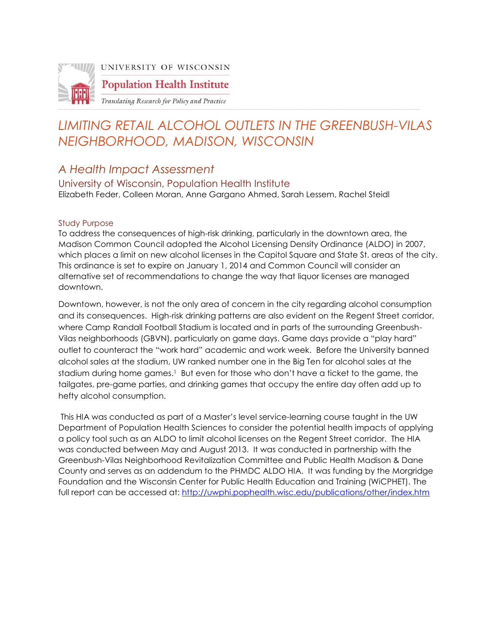

# *LIMITING RETAIL ALCOHOL OUTLETS IN THE GREENBUSH-VILAS NEIGHBORHOOD, MADISON, WISCONSIN*

## *A Health Impact Assessment*

University of Wisconsin, Population Health Institute Elizabeth Feder, Colleen Moran, Anne Gargano Ahmed, Sarah Lessem, Rachel Steidl

## Study Purpose

To address the consequences of high-risk drinking, particularly in the downtown area, the Madison Common Council adopted the Alcohol Licensing Density Ordinance (ALDO) in 2007, which places a limit on new alcohol licenses in the Capitol Square and State St. areas of the city. This ordinance is set to expire on January 1, 2014 and Common Council will consider an alternative set of recommendations to change the way that liquor licenses are managed downtown.

Downtown, however, is not the only area of concern in the city regarding alcohol consumption and its consequences. High-risk drinking patterns are also evident on the Regent Street corridor, where Camp Randall Football Stadium is located and in parts of the surrounding Greenbush-Vilas neighborhoods (GBVN), particularly on game days. Game days provide a "play hard" outlet to counteract the "work hard" academic and work week. Before the University banned alcohol sales at the stadium, UW ranked number one in the Big Ten for alcohol sales at the stadium during home games.<sup>1</sup> But even for those who don't have a ticket to the game, the tailgates, pre-game parties, and drinking games that occupy the entire day often add up to hefty alcohol consumption.

This HIA was conducted as part of a Master's level service-learning course taught in the UW Department of Population Health Sciences to consider the potential health impacts of applying a policy tool such as an ALDO to limit alcohol licenses on the Regent Street corridor. The HIA was conducted between May and August 2013. It was conducted in partnership with the Greenbush-Vilas Neighborhood Revitalization Committee and Public Health Madison & Dane County and serves as an addendum to the PHMDC ALDO HIA. It was funding by the Morgridge Foundation and the Wisconsin Center for Public Health Education and Training (WiCPHET). The full report can be accessed at:<http://uwphi.pophealth.wisc.edu/publications/other/index.htm>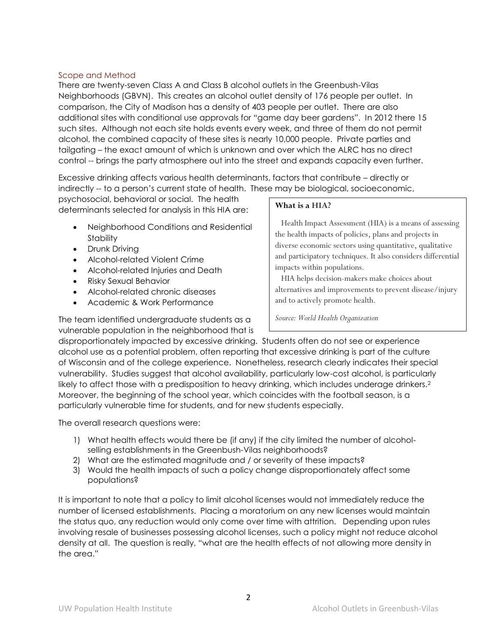## Scope and Method

There are twenty-seven Class A and Class B alcohol outlets in the Greenbush-Vilas Neighborhoods (GBVN). This creates an alcohol outlet density of 176 people per outlet. In comparison, the City of Madison has a density of 403 people per outlet. There are also additional sites with conditional use approvals for "game day beer gardens". In 2012 there 15 such sites. Although not each site holds events every week, and three of them do not permit alcohol, the combined capacity of these sites is nearly 10,000 people. Private parties and tailgating – the exact amount of which is unknown and over which the ALRC has no direct control -- brings the party atmosphere out into the street and expands capacity even further.

Excessive drinking affects various health determinants, factors that contribute – directly or indirectly -- to a person's current state of health. These may be biological, socioeconomic,

psychosocial, behavioral or social. The health determinants selected for analysis in this HIA are:

- Neighborhood Conditions and Residential **Stability**
- Drunk Driving
- Alcohol-related Violent Crime
- Alcohol-related Injuries and Death
- Risky Sexual Behavior
- Alcohol-related chronic diseases
- Academic & Work Performance

The team identified undergraduate students as a vulnerable population in the neighborhood that is

#### **What is a HIA?**

 Health Impact Assessment (HIA) is a means of assessing the health impacts of policies, plans and projects in diverse economic sectors using quantitative, qualitative and participatory techniques. It also considers differential impacts within populations.

 HIA helps decision-makers make choices about alternatives and improvements to prevent disease/injury and to actively promote health.

*Source: World Health Organization*

disproportionately impacted by excessive drinking. Students often do not see or experience alcohol use as a potential problem, often reporting that excessive drinking is part of the culture of Wisconsin and of the college experience. Nonetheless, research clearly indicates their special vulnerability. Studies suggest that alcohol availability, particularly low-cost alcohol, is particularly likely to affect those with a predisposition to heavy drinking, which includes underage drinkers.<sup>2</sup> Moreover, the beginning of the school year, which coincides with the football season, is a particularly vulnerable time for students, and for new students especially.

The overall research questions were:

- 1) What health effects would there be (if any) if the city limited the number of alcoholselling establishments in the Greenbush-Vilas neighborhoods?
- 2) What are the estimated magnitude and / or severity of these impacts?
- 3) Would the health impacts of such a policy change disproportionately affect some populations?

It is important to note that a policy to limit alcohol licenses would not immediately reduce the number of licensed establishments. Placing a moratorium on any new licenses would maintain the status quo, any reduction would only come over time with attrition. Depending upon rules involving resale of businesses possessing alcohol licenses, such a policy might not reduce alcohol density at all. The question is really, "what are the health effects of not allowing more density in the area."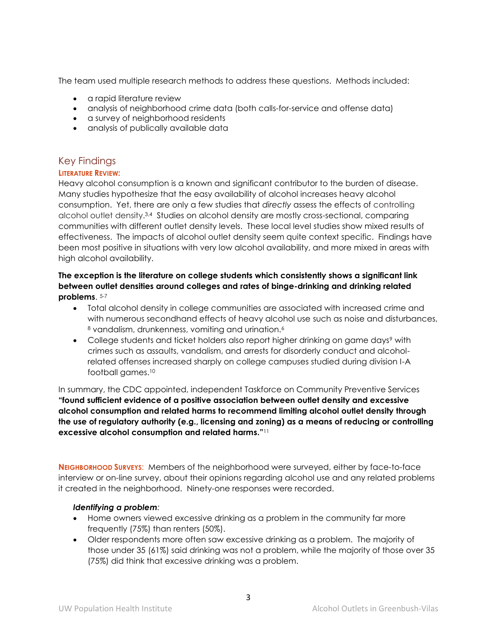The team used multiple research methods to address these questions. Methods included:

- a rapid literature review
- analysis of neighborhood crime data (both calls-for-service and offense data)
- a survey of neighborhood residents
- analysis of publically available data

## Key Findings

## **LITERATURE REVIEW:**

Heavy alcohol consumption is a known and significant contributor to the burden of disease. Many studies hypothesize that the easy availability of alcohol increases heavy alcohol consumption. Yet, there are only a few studies that *directly* assess the effects of controlling alcohol outlet density.3,4 Studies on alcohol density are mostly cross-sectional, comparing communities with different outlet density levels. These local level studies show mixed results of effectiveness. The impacts of alcohol outlet density seem quite context specific. Findings have been most positive in situations with very low alcohol availability, and more mixed in areas with high alcohol availability.

## **The exception is the literature on college students which consistently shows a significant link between outlet densities around colleges and rates of binge-drinking and drinking related problems**. 5-7

- Total alcohol density in college communities are associated with increased crime and with numerous secondhand effects of heavy alcohol use such as noise and disturbances, 8 vandalism, drunkenness, vomiting and urination.<sup>6</sup>
- College students and ticket holders also report higher drinking on game days<sup>9</sup> with crimes such as assaults, vandalism, and arrests for disorderly conduct and alcoholrelated offenses increased sharply on college campuses studied during division I-A football games.<sup>10</sup>

In summary, the CDC appointed, independent Taskforce on Community Preventive Services **"found sufficient evidence of a positive association between outlet density and excessive alcohol consumption and related harms to recommend limiting alcohol outlet density through the use of regulatory authority (e.g., licensing and zoning) as a means of reducing or controlling excessive alcohol consumption and related harms."**<sup>11</sup>

**NEIGHBORHOOD SURVEYS**: Members of the neighborhood were surveyed, either by face-to-face interview or on-line survey, about their opinions regarding alcohol use and any related problems it created in the neighborhood. Ninety-one responses were recorded.

## *Identifying a problem:*

- Home owners viewed excessive drinking as a problem in the community far more frequently (75%) than renters (50%).
- Older respondents more often saw excessive drinking as a problem. The majority of those under 35 (61%) said drinking was not a problem, while the majority of those over 35 (75%) did think that excessive drinking was a problem.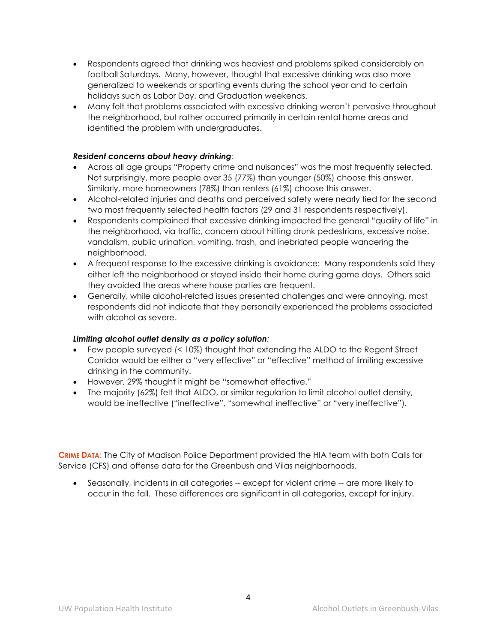- Respondents agreed that drinking was heaviest and problems spiked considerably on football Saturdays. Many, however, thought that excessive drinking was also more generalized to weekends or sporting events during the school year and to certain holidays such as Labor Day, and Graduation weekends.
- Many felt that problems associated with excessive drinking weren't pervasive throughout the neighborhood, but rather occurred primarily in certain rental home areas and identified the problem with undergraduates.

### *Resident concerns about heavy drinking*:

- Across all age groups "Property crime and nuisances" was the most frequently selected. Not surprisingly, more people over 35 (77%) than younger (50%) choose this answer. Similarly, more homeowners (78%) than renters (61%) choose this answer.
- Alcohol-related injuries and deaths and perceived safety were nearly tied for the second two most frequently selected health factors (29 and 31 respondents respectively).
- Respondents complained that excessive drinking impacted the general "quality of life" in the neighborhood, via traffic, concern about hitting drunk pedestrians, excessive noise, vandalism, public urination, vomiting, trash, and inebriated people wandering the neighborhood.
- A frequent response to the excessive drinking is avoidance: Many respondents said they either left the neighborhood or stayed inside their home during game days. Others said they avoided the areas where house parties are frequent.
- Generally, while alcohol-related issues presented challenges and were annoying, most respondents did not indicate that they personally experienced the problems associated with alcohol as severe.

#### *Limiting alcohol outlet density as a policy solution:*

- Few people surveyed (< 10%) thought that extending the ALDO to the Regent Street Corridor would be either a "very effective" or "effective" method of limiting excessive drinking in the community.
- However, 29% thought it might be "somewhat effective."
- The majority (62%) felt that ALDO, or similar regulation to limit alcohol outlet density, would be ineffective ("ineffective", "somewhat ineffective" or "very ineffective").

**CRIME DATA:** The City of Madison Police Department provided the HIA team with both Calls for Service (CFS) and offense data for the Greenbush and Vilas neighborhoods.

• Seasonally, incidents in all categories -- except for violent crime -- are more likely to occur in the fall. These differences are significant in all categories, except for injury.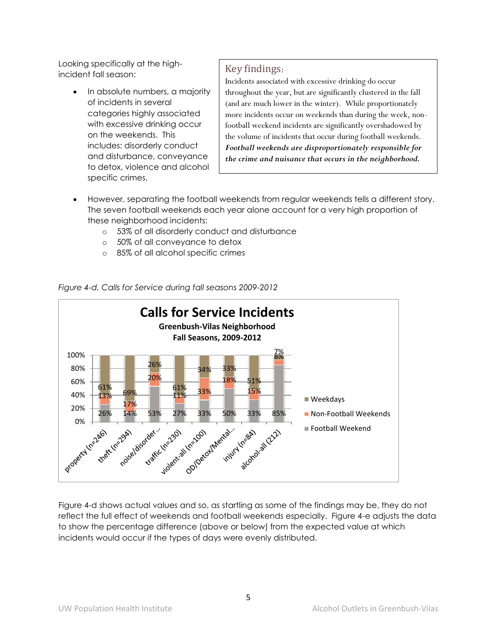Looking specifically at the highincident fall season:

> In absolute numbers, a majority of incidents in several categories highly associated with excessive drinking occur on the weekends. This includes: disorderly conduct and disturbance, conveyance to detox, violence and alcohol specific crimes.

## Key findings:

Incidents associated with excessive drinking do occur throughout the year, but are significantly clustered in the fall (and are much lower in the winter). While proportionately more incidents occur on weekends than during the week, nonfootball weekend incidents are significantly overshadowed by the volume of incidents that occur during football weekends. *Football weekends are disproportionately responsible for the crime and nuisance that occurs in the neighborhood.*

- However, separating the football weekends from regular weekends tells a different story. The seven football weekends each year alone account for a very high proportion of these neighborhood incidents:
	- o 53% of all disorderly conduct and disturbance
	- o 50% of all conveyance to detox
	- o 85% of all alcohol specific crimes



*Figure 4-d. Calls for Service during fall seasons 2009-2012*

Figure 4-d shows actual values and so, as startling as some of the findings may be, they do not reflect the full effect of weekends and football weekends especially. Figure 4-e adjusts the data to show the percentage difference (above or below) from the expected value at which incidents would occur if the types of days were evenly distributed.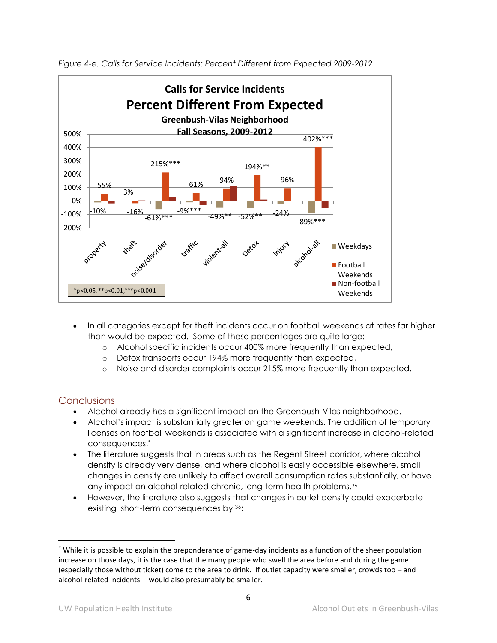

*Figure 4-e. Calls for Service Incidents: Percent Different from Expected 2009-2012*

- In all categories except for theft incidents occur on football weekends at rates far higher than would be expected. Some of these percentages are quite large:
	- o Alcohol specific incidents occur 400% more frequently than expected,
	- o Detox transports occur 194% more frequently than expected,
	- o Noise and disorder complaints occur 215% more frequently than expected.

## **Conclusions**

 $\overline{a}$ 

- Alcohol already has a significant impact on the Greenbush-Vilas neighborhood.
- Alcohol's impact is substantially greater on game weekends. The addition of temporary licenses on football weekends is associated with a significant increase in alcohol-related consequences.\*
- The literature suggests that in areas such as the Regent Street corridor, where alcohol density is already very dense, and where alcohol is easily accessible elsewhere, small changes in density are unlikely to affect overall consumption rates substantially, or have any impact on alcohol-related chronic, long-term health problems.<sup>36</sup>
- However, the literature also suggests that changes in outlet density could exacerbate existing short-term consequences by 36:

<sup>\*</sup> While it is possible to explain the preponderance of game-day incidents as a function of the sheer population increase on those days, it is the case that the many people who swell the area before and during the game (especially those without ticket) come to the area to drink. If outlet capacity were smaller, crowds too – and alcohol-related incidents -- would also presumably be smaller.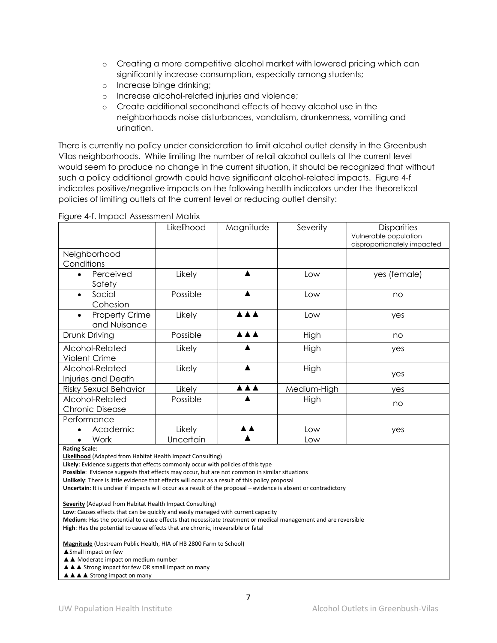- o Creating a more competitive alcohol market with lowered pricing which can significantly increase consumption, especially among students;
- o Increase binge drinking;
- o Increase alcohol-related injuries and violence;
- o Create additional secondhand effects of heavy alcohol use in the neighborhoods noise disturbances, vandalism, drunkenness, vomiting and urination.

There is currently no policy under consideration to limit alcohol outlet density in the Greenbush Vilas neighborhoods. While limiting the number of retail alcohol outlets at the current level would seem to produce no change in the current situation, it should be recognized that without such a policy additional growth could have significant alcohol-related impacts. Figure 4-f indicates positive/negative impacts on the following health indicators under the theoretical policies of limiting outlets at the current level or reducing outlet density:

|                                                    | Likelihood          | Magnitude  | Severity    | <b>Disparities</b><br>Vulnerable population<br>disproportionately impacted |
|----------------------------------------------------|---------------------|------------|-------------|----------------------------------------------------------------------------|
| Neighborhood<br>Conditions                         |                     |            |             |                                                                            |
| Perceived<br>Safety                                | Likely              |            | Low         | yes (female)                                                               |
| Social<br>Cohesion                                 | Possible            | ▲          | Low         | no                                                                         |
| <b>Property Crime</b><br>$\bullet$<br>and Nuisance | Likely              | <b>AAA</b> | Low         | yes                                                                        |
| Drunk Driving                                      | Possible            | <b>AAA</b> | High        | no                                                                         |
| Alcohol-Related<br><b>Violent Crime</b>            | Likely              |            | High        | yes                                                                        |
| Alcohol-Related<br>Injuries and Death              | Likely              | ▲          | High        | yes                                                                        |
| Risky Sexual Behavior                              | Likely              | <b>AAA</b> | Medium-High | yes                                                                        |
| Alcohol-Related<br>Chronic Disease                 | Possible            |            | High        | no                                                                         |
| Performance<br>Academic<br>Work                    | Likely<br>Uncertain |            | Low<br>Low  | yes                                                                        |

Figure 4-f. Impact Assessment Matrix

**Rating Scale**:

**Likelihood** (Adapted from Habitat Health Impact Consulting)

**Likely**: Evidence suggests that effects commonly occur with policies of this type

Possible: Evidence suggests that effects may occur, but are not common in similar situations

**Unlikely**: There is little evidence that effects will occur as a result of this policy proposal

**Uncertain**: It is unclear if impacts will occur as a result of the proposal – evidence is absent or contradictory

**Severity** (Adapted from Habitat Health Impact Consulting)

**Low**: Causes effects that can be quickly and easily managed with current capacity

**Medium**: Has the potential to cause effects that necessitate treatment or medical management and are reversible

**High**: Has the potential to cause effects that are chronic, irreversible or fatal

**Magnitude** (Upstream Public Health, HIA of HB 2800 Farm to School)

▲ Small impact on few

▲ **▲ Moderate impact on medium number** 

▲ ▲ Strong impact for few OR small impact on many

▲▲▲▲ Strong impact on many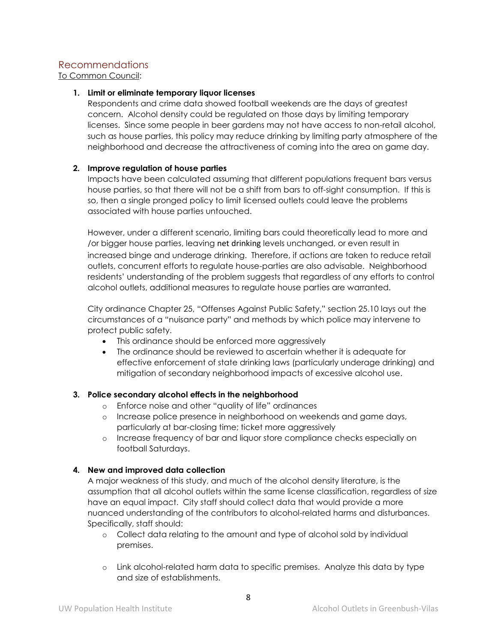## Recommendations

To Common Council:

## **1. Limit or eliminate temporary liquor licenses**

Respondents and crime data showed football weekends are the days of greatest concern. Alcohol density could be regulated on those days by limiting temporary licenses. Since some people in beer gardens may not have access to non-retail alcohol, such as house parties, this policy may reduce drinking by limiting party atmosphere of the neighborhood and decrease the attractiveness of coming into the area on game day.

## **2. Improve regulation of house parties**

Impacts have been calculated assuming that different populations frequent bars versus house parties, so that there will not be a shift from bars to off-sight consumption. If this is so, then a single pronged policy to limit licensed outlets could leave the problems associated with house parties untouched.

However, under a different scenario, limiting bars could theoretically lead to more and /or bigger house parties, leaving net drinking levels unchanged, or even result in increased binge and underage drinking. Therefore, if actions are taken to reduce retail outlets, concurrent efforts to regulate house-parties are also advisable. Neighborhood residents' understanding of the problem suggests that regardless of any efforts to control alcohol outlets, additional measures to regulate house parties are warranted.

City ordinance Chapter 25, "Offenses Against Public Safety," section 25.10 lays out the circumstances of a "nuisance party" and methods by which police may intervene to protect public safety.

- This ordinance should be enforced more aggressively
- The ordinance should be reviewed to ascertain whether it is adequate for effective enforcement of state drinking laws (particularly underage drinking) and mitigation of secondary neighborhood impacts of excessive alcohol use.

## **3. Police secondary alcohol effects in the neighborhood**

- o Enforce noise and other "quality of life" ordinances
- o Increase police presence in neighborhood on weekends and game days, particularly at bar-closing time; ticket more aggressively
- o Increase frequency of bar and liquor store compliance checks especially on football Saturdays.

#### **4. New and improved data collection**

A major weakness of this study, and much of the alcohol density literature, is the assumption that all alcohol outlets within the same license classification, regardless of size have an equal impact. City staff should collect data that would provide a more nuanced understanding of the contributors to alcohol-related harms and disturbances. Specifically, staff should:

- o Collect data relating to the amount and type of alcohol sold by individual premises.
- o Link alcohol-related harm data to specific premises. Analyze this data by type and size of establishments.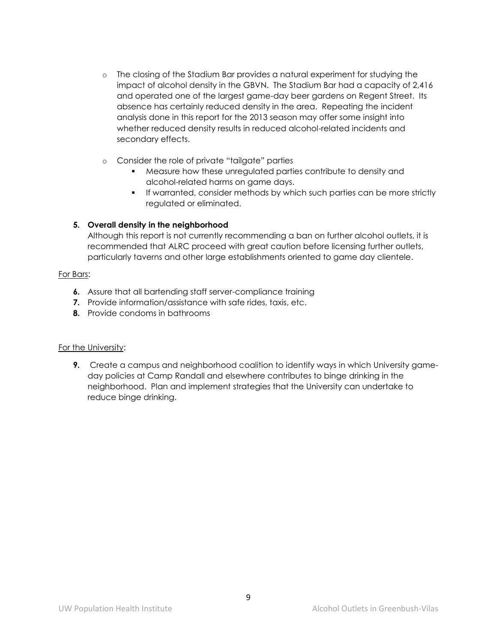- o The closing of the Stadium Bar provides a natural experiment for studying the impact of alcohol density in the GBVN. The Stadium Bar had a capacity of 2,416 and operated one of the largest game-day beer gardens on Regent Street. Its absence has certainly reduced density in the area. Repeating the incident analysis done in this report for the 2013 season may offer some insight into whether reduced density results in reduced alcohol-related incidents and secondary effects.
- o Consider the role of private "tailgate" parties
	- Measure how these unregulated parties contribute to density and alcohol-related harms on game days.
	- If warranted, consider methods by which such parties can be more strictly regulated or eliminated.

## **5. Overall density in the neighborhood**

Although this report is not currently recommending a ban on further alcohol outlets, it is recommended that ALRC proceed with great caution before licensing further outlets, particularly taverns and other large establishments oriented to game day clientele.

## For Bars:

- **6.** Assure that all bartending staff server-compliance training
- **7.** Provide information/assistance with safe rides, taxis, etc.
- **8.** Provide condoms in bathrooms

#### For the University:

**9.** Create a campus and neighborhood coalition to identify ways in which University gameday policies at Camp Randall and elsewhere contributes to binge drinking in the neighborhood. Plan and implement strategies that the University can undertake to reduce binge drinking.